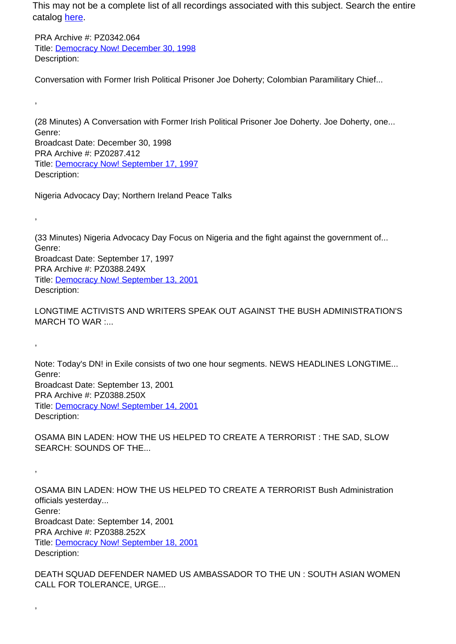This may not be a complete list of all recordings associated with this subject. Search the entire catalog [here.](http://pacificaradioarchives.org/keyword-search)

PRA Archive #: PZ0342.064 Title: Democracy Now! December 30, 1998 Description:

,

,

,

,

,

Conversation with Former Irish Political Prisoner Joe Doherty; Colombian Paramilitary Chief...

(28 Minutes) A Conversation with Former Irish Political Prisoner Joe Doherty. Joe Doherty, one... Genre: Broadcast Date: December 30, 1998 PRA Archive #: PZ0287.412 Title: Democracy Now! September 17, 1997 Description:

Nigeria Advocacy Day; Northern Ireland Peace Talks

(33 Minutes) Nigeria Advocacy Day Focus on Nigeria and the fight against the government of... Genre: Broadcast Date: September 17, 1997 PRA Archive #: PZ0388.249X Title: Democracy Now! September 13, 2001 Description:

LONGTIME ACTIVISTS AND WRITERS SPEAK OUT AGAINST THE BUSH ADMINISTRATION'S MARCH TO WAR :...

Note: Today's DN! in Exile consists of two one hour segments. NEWS HEADLINES LONGTIME... Genre: Broadcast Date: September 13, 2001 PRA Archive #: PZ0388.250X Title: Democracy Now! September 14, 2001 Description:

OSAMA BIN LADEN: HOW THE US HELPED TO CREATE A TERRORIST : THE SAD, SLOW SEARCH: SOUNDS OF THE...

OSAMA BIN LADEN: HOW THE US HELPED TO CREATE A TERRORIST Bush Administration officials yesterday... Genre: Broadcast Date: September 14, 2001 PRA Archive #: PZ0388.252X Title: Democracy Now! September 18, 2001 Description:

DEATH SQUAD DEFENDER NAMED US AMBASSADOR TO THE UN : SOUTH ASIAN WOMEN CALL FOR TOLERANCE, URGE...